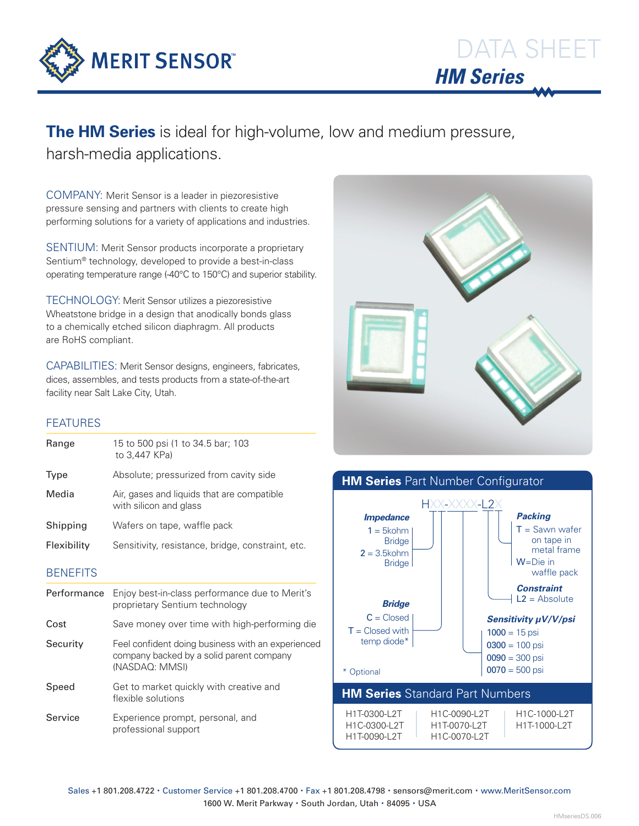

## **The HM Series** is ideal for high-volume, low and medium pressure, harsh-media applications.

COMPANY: Merit Sensor is a leader in piezoresistive pressure sensing and partners with clients to create high performing solutions for a variety of applications and industries.

SENTIUM: Merit Sensor products incorporate a proprietary Sentium® technology, developed to provide a best-in-class operating temperature range (-40°C to 150°C) and superior stability.

TECHNOLOGY: Merit Sensor utilizes a piezoresistive Wheatstone bridge in a design that anodically bonds glass to a chemically etched silicon diaphragm. All products are RoHS compliant.

CAPABILITIES: Merit Sensor designs, engineers, fabricates, dices, assembles, and tests products from a state-of-the-art facility near Salt Lake City, Utah.

### **FEATURES**

| Range           | 15 to 500 psi (1 to 34.5 bar; 103<br>to 3,447 KPa)                                                              |
|-----------------|-----------------------------------------------------------------------------------------------------------------|
| Type            | Absolute; pressurized from cavity side                                                                          |
| Media           | Air, gases and liquids that are compatible<br>with silicon and glass                                            |
| Shipping        | Wafers on tape, waffle pack                                                                                     |
| Flexibility     | Sensitivity, resistance, bridge, constraint, etc.                                                               |
| <b>BENEFITS</b> |                                                                                                                 |
| Performance     | Enjoy best-in-class performance due to Merit's<br>proprietary Sentium technology                                |
| Cost            | Save money over time with high-performing die                                                                   |
| Security        | Feel confident doing business with an experienced<br>company backed by a solid parent company<br>(NASDAQ: MMSI) |
| Speed           | Get to market quickly with creative and<br>flexible solutions                                                   |
| Service         |                                                                                                                 |





Sales +1 801.208.4722 · Customer Service +1 801.208.4700 · Fax +1 801.208.4798 · sensors@merit.com · www.MeritSensor.com 1600 W. Merit Parkway · South Jordan, Utah · 84095 · USA